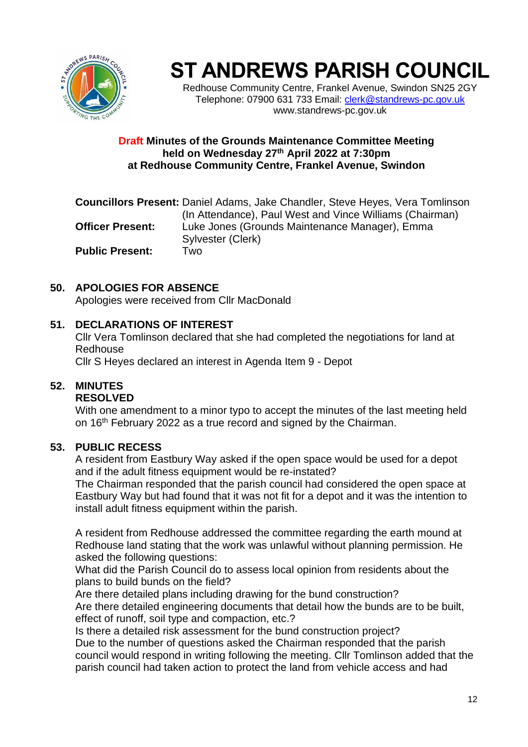

# **ST ANDREWS PARISH COUNCIL**

Redhouse Community Centre, Frankel Avenue, Swindon SN25 2GY Telephone: 07900 631 733 Email: [clerk@standrews-pc.gov.uk](mailto:clerk@standrews-pc.gov.uk) www.standrews-pc.gov.uk

#### **Draft Minutes of the Grounds Maintenance Committee Meeting held on Wednesday 27th April 2022 at 7:30pm at Redhouse Community Centre, Frankel Avenue, Swindon**

**Councillors Present:** Daniel Adams, Jake Chandler, Steve Heyes, Vera Tomlinson (In Attendance), Paul West and Vince Williams (Chairman) **Officer Present:** Luke Jones (Grounds Maintenance Manager), Emma Sylvester (Clerk) **Public Present:** Two

## **50. APOLOGIES FOR ABSENCE**

Apologies were received from Cllr MacDonald

#### **51. DECLARATIONS OF INTEREST**

Cllr Vera Tomlinson declared that she had completed the negotiations for land at Redhouse

Cllr S Heyes declared an interest in Agenda Item 9 - Depot

## **52. MINUTES**

#### **RESOLVED**

With one amendment to a minor typo to accept the minutes of the last meeting held on 16<sup>th</sup> February 2022 as a true record and signed by the Chairman.

#### **53. PUBLIC RECESS**

A resident from Eastbury Way asked if the open space would be used for a depot and if the adult fitness equipment would be re-instated?

The Chairman responded that the parish council had considered the open space at Eastbury Way but had found that it was not fit for a depot and it was the intention to install adult fitness equipment within the parish.

A resident from Redhouse addressed the committee regarding the earth mound at Redhouse land stating that the work was unlawful without planning permission. He asked the following questions:

What did the Parish Council do to assess local opinion from residents about the plans to build bunds on the field?

Are there detailed plans including drawing for the bund construction?

Are there detailed engineering documents that detail how the bunds are to be built, effect of runoff, soil type and compaction, etc.?

Is there a detailed risk assessment for the bund construction project?

Due to the number of questions asked the Chairman responded that the parish council would respond in writing following the meeting. Cllr Tomlinson added that the parish council had taken action to protect the land from vehicle access and had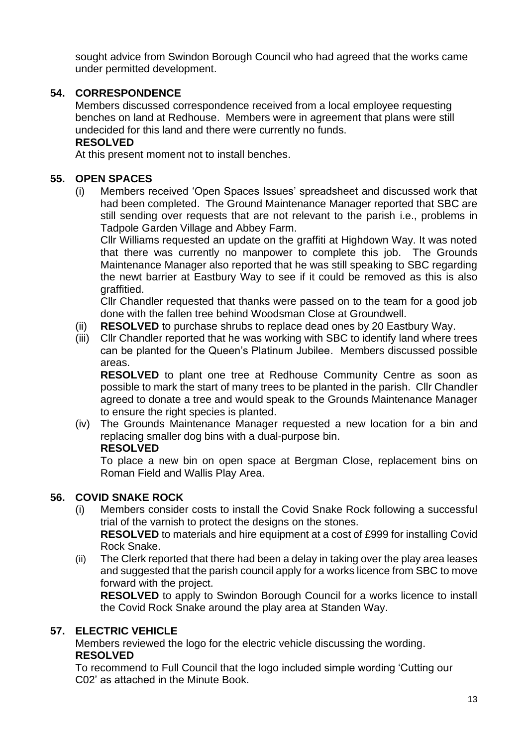sought advice from Swindon Borough Council who had agreed that the works came under permitted development.

## **54. CORRESPONDENCE**

Members discussed correspondence received from a local employee requesting benches on land at Redhouse. Members were in agreement that plans were still undecided for this land and there were currently no funds.

## **RESOLVED**

At this present moment not to install benches.

## **55. OPEN SPACES**

(i) Members received 'Open Spaces Issues' spreadsheet and discussed work that had been completed. The Ground Maintenance Manager reported that SBC are still sending over requests that are not relevant to the parish i.e., problems in Tadpole Garden Village and Abbey Farm.

Cllr Williams requested an update on the graffiti at Highdown Way. It was noted that there was currently no manpower to complete this job. The Grounds Maintenance Manager also reported that he was still speaking to SBC regarding the newt barrier at Eastbury Way to see if it could be removed as this is also graffitied.

Cllr Chandler requested that thanks were passed on to the team for a good job done with the fallen tree behind Woodsman Close at Groundwell.

- (ii) **RESOLVED** to purchase shrubs to replace dead ones by 20 Eastbury Way.
- (iii) Cllr Chandler reported that he was working with SBC to identify land where trees can be planted for the Queen's Platinum Jubilee. Members discussed possible areas.

**RESOLVED** to plant one tree at Redhouse Community Centre as soon as possible to mark the start of many trees to be planted in the parish. Cllr Chandler agreed to donate a tree and would speak to the Grounds Maintenance Manager to ensure the right species is planted.

(iv) The Grounds Maintenance Manager requested a new location for a bin and replacing smaller dog bins with a dual-purpose bin.

#### **RESOLVED**

To place a new bin on open space at Bergman Close, replacement bins on Roman Field and Wallis Play Area.

## **56. COVID SNAKE ROCK**

(i) Members consider costs to install the Covid Snake Rock following a successful trial of the varnish to protect the designs on the stones. **RESOLVED** to materials and hire equipment at a cost of £999 for installing Covid

Rock Snake.

(ii) The Clerk reported that there had been a delay in taking over the play area leases and suggested that the parish council apply for a works licence from SBC to move forward with the project.

**RESOLVED** to apply to Swindon Borough Council for a works licence to install the Covid Rock Snake around the play area at Standen Way.

## **57. ELECTRIC VEHICLE**

Members reviewed the logo for the electric vehicle discussing the wording. **RESOLVED**

To recommend to Full Council that the logo included simple wording 'Cutting our C02' as attached in the Minute Book.